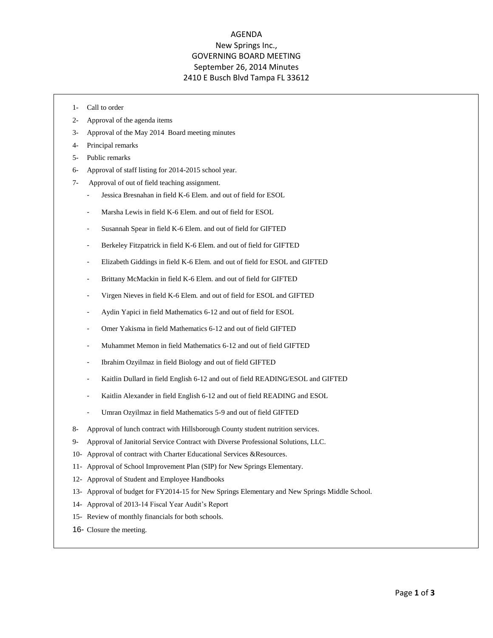## AGENDA New Springs Inc., GOVERNING BOARD MEETING September 26, 2014 Minutes 2410 E Busch Blvd Tampa FL 33612

- 1- Call to order
- 2- Approval of the agenda items
- 3- Approval of the May 2014 Board meeting minutes
- 4- Principal remarks
- 5- Public remarks
- 6- Approval of staff listing for 2014-2015 school year.
- 7- Approval of out of field teaching assignment.
	- Jessica Bresnahan in field K-6 Elem. and out of field for ESOL
	- Marsha Lewis in field K-6 Elem. and out of field for ESOL
	- Susannah Spear in field K-6 Elem. and out of field for GIFTED
	- Berkeley Fitzpatrick in field K-6 Elem. and out of field for GIFTED
	- Elizabeth Giddings in field K-6 Elem. and out of field for ESOL and GIFTED
	- Brittany McMackin in field K-6 Elem. and out of field for GIFTED
	- Virgen Nieves in field K-6 Elem. and out of field for ESOL and GIFTED
	- Aydin Yapici in field Mathematics 6-12 and out of field for ESOL
	- Omer Yakisma in field Mathematics 6-12 and out of field GIFTED
	- Muhammet Memon in field Mathematics 6-12 and out of field GIFTED
	- Ibrahim Ozyilmaz in field Biology and out of field GIFTED
	- Kaitlin Dullard in field English 6-12 and out of field READING/ESOL and GIFTED
	- Kaitlin Alexander in field English 6-12 and out of field READING and ESOL
	- Umran Ozyilmaz in field Mathematics 5-9 and out of field GIFTED
- 8- Approval of lunch contract with Hillsborough County student nutrition services.
- 9- Approval of Janitorial Service Contract with Diverse Professional Solutions, LLC.
- 10- Approval of contract with Charter Educational Services &Resources.
- 11- Approval of School Improvement Plan (SIP) for New Springs Elementary.
- 12- Approval of Student and Employee Handbooks
- 13- Approval of budget for FY2014-15 for New Springs Elementary and New Springs Middle School.
- 14- Approval of 2013-14 Fiscal Year Audit's Report
- 15- Review of monthly financials for both schools.
- 16- Closure the meeting.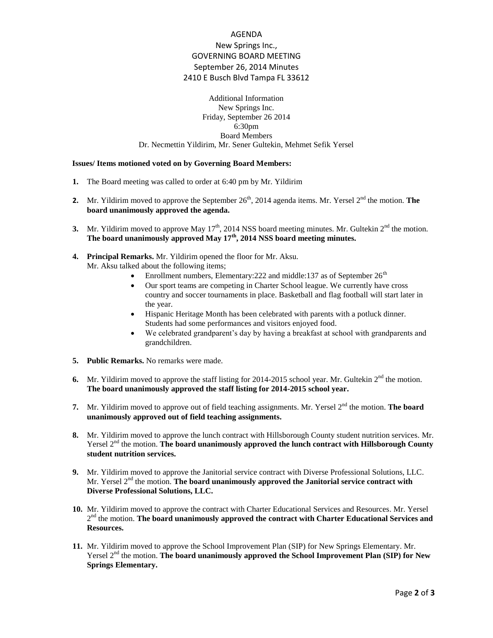## AGENDA New Springs Inc., GOVERNING BOARD MEETING September 26, 2014 Minutes 2410 E Busch Blvd Tampa FL 33612

Additional Information New Springs Inc. Friday, September 26 2014 6:30pm Board Members Dr. Necmettin Yildirim, Mr. Sener Gultekin, Mehmet Sefik Yersel

## **Issues/ Items motioned voted on by Governing Board Members:**

- **1.** The Board meeting was called to order at 6:40 pm by Mr. Yildirim
- **2.** Mr. Yildirim moved to approve the September  $26<sup>th</sup>$ , 2014 agenda items. Mr. Yersel  $2<sup>nd</sup>$  the motion. **The board unanimously approved the agenda.**
- **3.** Mr. Yildirim moved to approve May  $17<sup>th</sup>$ , 2014 NSS board meeting minutes. Mr. Gultekin  $2<sup>nd</sup>$  the motion. **The board unanimously approved May 17th, 2014 NSS board meeting minutes.**
- **4. Principal Remarks.** Mr. Yildirim opened the floor for Mr. Aksu. Mr. Aksu talked about the following items;
	- Enrollment numbers, Elementary:  $222$  and middle: 137 as of September  $26<sup>th</sup>$
	- Our sport teams are competing in Charter School league. We currently have cross country and soccer tournaments in place. Basketball and flag football will start later in the year.
	- Hispanic Heritage Month has been celebrated with parents with a potluck dinner. Students had some performances and visitors enjoyed food.
	- We celebrated grandparent's day by having a breakfast at school with grandparents and grandchildren.
- **5. Public Remarks.** No remarks were made.
- **6.** Mr. Yildirim moved to approve the staff listing for 2014-2015 school year. Mr. Gultekin  $2<sup>nd</sup>$  the motion. **The board unanimously approved the staff listing for 2014-2015 school year.**
- 7. Mr. Yildirim moved to approve out of field teaching assignments. Mr. Yersel 2<sup>nd</sup> the motion. **The board unanimously approved out of field teaching assignments.**
- **8.** Mr. Yildirim moved to approve the lunch contract with Hillsborough County student nutrition services. Mr. Yersel 2nd the motion. **The board unanimously approved the lunch contract with Hillsborough County student nutrition services.**
- **9.** Mr. Yildirim moved to approve the Janitorial service contract with Diverse Professional Solutions, LLC. Mr. Yersel 2<sup>nd</sup> the motion. **The board unanimously approved the Janitorial service contract with Diverse Professional Solutions, LLC.**
- **10.** Mr. Yildirim moved to approve the contract with Charter Educational Services and Resources. Mr. Yersel 2<sup>nd</sup> the motion. **The board unanimously approved the contract with Charter Educational Services and Resources.**
- **11.** Mr. Yildirim moved to approve the School Improvement Plan (SIP) for New Springs Elementary. Mr. Yersel 2<sup>nd</sup> the motion. **The board unanimously approved the School Improvement Plan (SIP) for New Springs Elementary.**